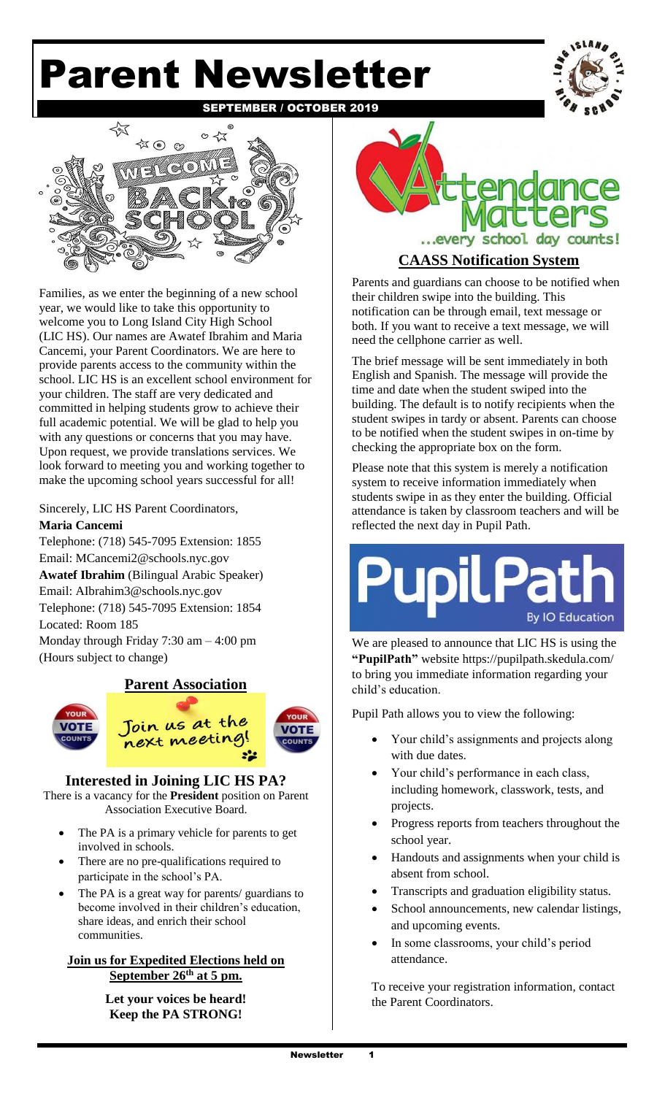# Parent Newsletter





Families, as we enter the beginning of a new school year, we would like to take this opportunity to welcome you to Long Island City High School (LIC HS). Our names are Awatef Ibrahim and Maria Cancemi, your Parent Coordinators. We are here to provide parents access to the community within the school. LIC HS is an excellent school environment for your children. The staff are very dedicated and committed in helping students grow to achieve their full academic potential. We will be glad to help you with any questions or concerns that you may have. Upon request, we provide translations services. We look forward to meeting you and working together to make the upcoming school years successful for all!

## Sincerely, LIC HS Parent Coordinators, **Maria Cancemi**

Telephone: (718) 545-7095 Extension: 1855 Email: [MCancemi2@schools.nyc.gov](mailto:MCancemi2@schools.nyc.gov)  **Awatef Ibrahim** (Bilingual Arabic Speaker) Email: [AIbrahim3@schools.nyc.gov](mailto:AIbrahim3@schools.nyc.gov) Telephone: (718) 545-7095 Extension: 1854 Located: Room 185 Monday through Friday 7:30 am – 4:00 pm (Hours subject to change)

# **Parent Association**





# **Interested in Joining LIC HS PA?**

There is a vacancy for the **President** position on Parent Association Executive Board.

- The PA is a primary vehicle for parents to get involved in schools.
- There are no pre-qualifications required to participate in the school's PA.
- The PA is a great way for parents/ guardians to become involved in their children's education, share ideas, and enrich their school communities.

#### **Join us for Expedited Elections held on September 26th at 5 pm.**

**Let your voices be heard! Keep the PA STRONG!** 



# **CAASS Notification System**

Parents and guardians can choose to be notified when their children swipe into the building. This notification can be through email, text message or both. If you want to receive a text message, we will need the cellphone carrier as well.

The brief message will be sent immediately in both English and Spanish. The message will provide the time and date when the student swiped into the building. The default is to notify recipients when the student swipes in tardy or absent. Parents can choose to be notified when the student swipes in on-time by checking the appropriate box on the form.

Please note that this system is merely a notification system to receive information immediately when students swipe in as they enter the building. Official attendance is taken by classroom teachers and will be reflected the next day in Pupil Path.

# **By IO Education**

We are pleased to announce that LIC HS is using the **"PupilPath"** website https://pupilpath.skedula.com/ to bring you immediate information regarding your child's education.

Pupil Path allows you to view the following:

- Your child's assignments and projects along with due dates.
- Your child's performance in each class, including homework, classwork, tests, and projects.
- Progress reports from teachers throughout the school year.
- Handouts and assignments when your child is absent from school.
- Transcripts and graduation eligibility status.
- School announcements, new calendar listings, and upcoming events.
- In some classrooms, your child's period attendance.

To receive your registration information, contact the Parent Coordinators.